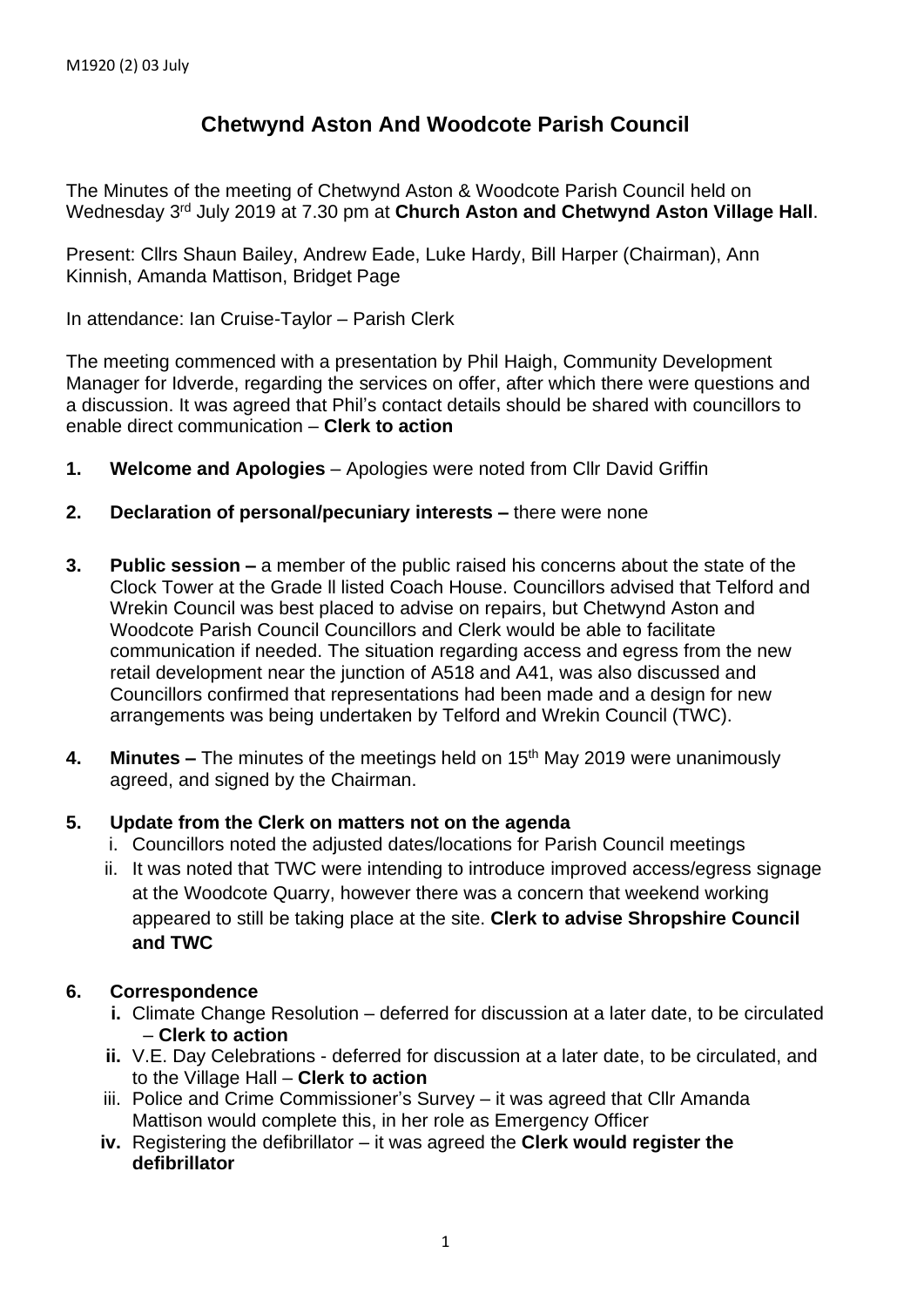# **Chetwynd Aston And Woodcote Parish Council**

The Minutes of the meeting of Chetwynd Aston & Woodcote Parish Council held on Wednesday 3<sup>rd</sup> July 2019 at 7.30 pm at **Church Aston and Chetwynd Aston Village Hall**.

Present: Cllrs Shaun Bailey, Andrew Eade, Luke Hardy, Bill Harper (Chairman), Ann Kinnish, Amanda Mattison, Bridget Page

In attendance: Ian Cruise-Taylor – Parish Clerk

The meeting commenced with a presentation by Phil Haigh, Community Development Manager for Idverde, regarding the services on offer, after which there were questions and a discussion. It was agreed that Phil's contact details should be shared with councillors to enable direct communication – **Clerk to action**

- **1. Welcome and Apologies** Apologies were noted from Cllr David Griffin
- **2. Declaration of personal/pecuniary interests –** there were none
- **3. Public session –** a member of the public raised his concerns about the state of the Clock Tower at the Grade ll listed Coach House. Councillors advised that Telford and Wrekin Council was best placed to advise on repairs, but Chetwynd Aston and Woodcote Parish Council Councillors and Clerk would be able to facilitate communication if needed. The situation regarding access and egress from the new retail development near the junction of A518 and A41, was also discussed and Councillors confirmed that representations had been made and a design for new arrangements was being undertaken by Telford and Wrekin Council (TWC).
- **4. Minutes –** The minutes of the meetings held on 15 th May 2019 were unanimously agreed, and signed by the Chairman.

## **5. Update from the Clerk on matters not on the agenda**

- i. Councillors noted the adjusted dates/locations for Parish Council meetings
- ii. It was noted that TWC were intending to introduce improved access/egress signage at the Woodcote Quarry, however there was a concern that weekend working appeared to still be taking place at the site. **Clerk to advise Shropshire Council and TWC**

## **6. Correspondence**

- **i.** Climate Change Resolution deferred for discussion at a later date, to be circulated – **Clerk to action**
- **ii.** V.E. Day Celebrations deferred for discussion at a later date, to be circulated, and to the Village Hall – **Clerk to action**
- iii. Police and Crime Commissioner's Survey it was agreed that Cllr Amanda Mattison would complete this, in her role as Emergency Officer
- **iv.** Registering the defibrillator it was agreed the **Clerk would register the defibrillator**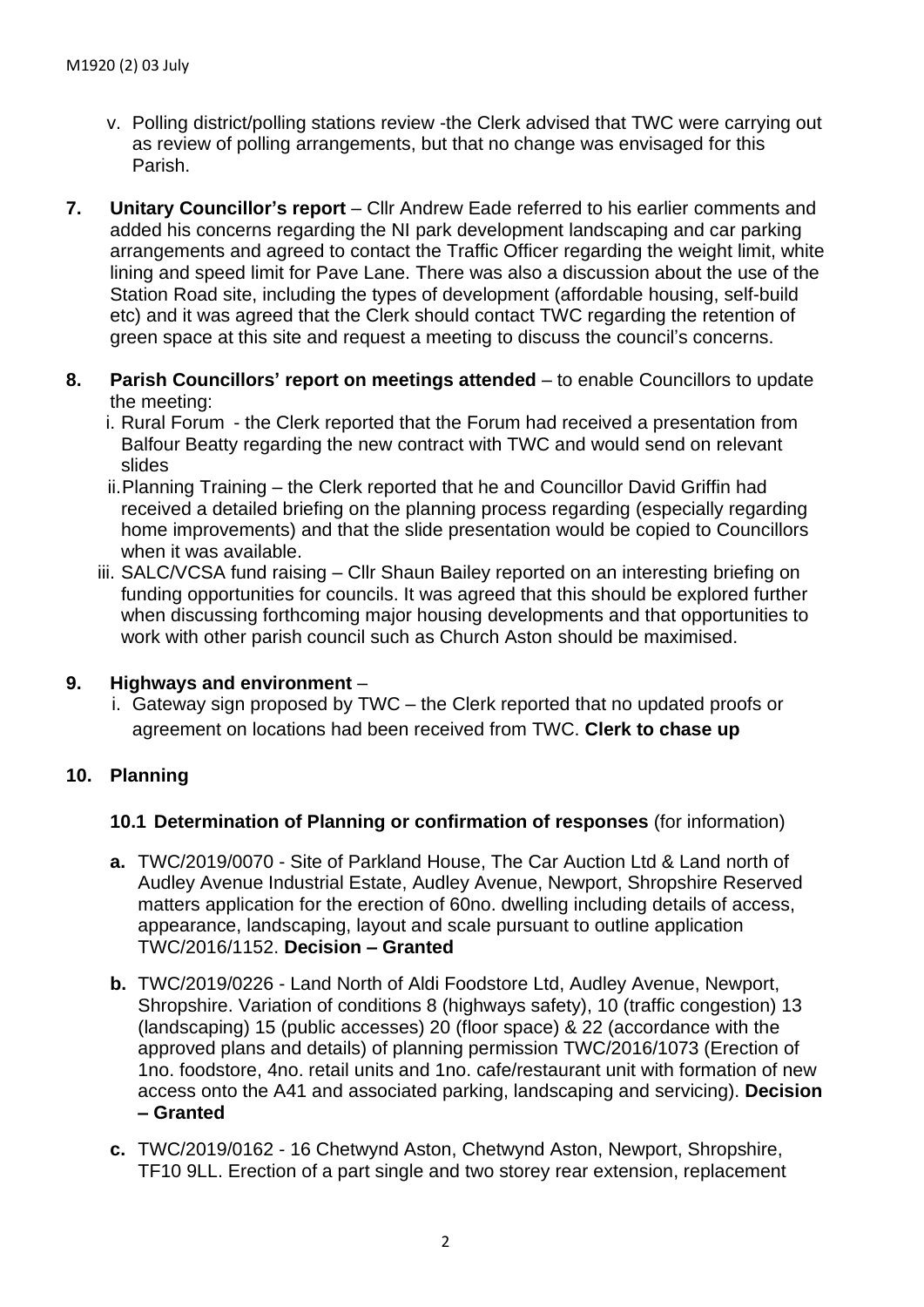- v. Polling district/polling stations review -the Clerk advised that TWC were carrying out as review of polling arrangements, but that no change was envisaged for this Parish.
- **7. Unitary Councillor's report** Cllr Andrew Eade referred to his earlier comments and added his concerns regarding the NI park development landscaping and car parking arrangements and agreed to contact the Traffic Officer regarding the weight limit, white lining and speed limit for Pave Lane. There was also a discussion about the use of the Station Road site, including the types of development (affordable housing, self-build etc) and it was agreed that the Clerk should contact TWC regarding the retention of green space at this site and request a meeting to discuss the council's concerns.
- **8. Parish Councillors' report on meetings attended** to enable Councillors to update the meeting:
	- i. Rural Forum the Clerk reported that the Forum had received a presentation from Balfour Beatty regarding the new contract with TWC and would send on relevant slides
	- ii.Planning Training the Clerk reported that he and Councillor David Griffin had received a detailed briefing on the planning process regarding (especially regarding home improvements) and that the slide presentation would be copied to Councillors when it was available.
	- iii. SALC/VCSA fund raising Cllr Shaun Bailey reported on an interesting briefing on funding opportunities for councils. It was agreed that this should be explored further when discussing forthcoming major housing developments and that opportunities to work with other parish council such as Church Aston should be maximised.

### **9. Highways and environment** –

i. Gateway sign proposed by TWC – the Clerk reported that no updated proofs or agreement on locations had been received from TWC. **Clerk to chase up**

## **10. Planning**

### **10.1 Determination of Planning or confirmation of responses** (for information)

- **a.** TWC/2019/0070 Site of Parkland House, The Car Auction Ltd & Land north of Audley Avenue Industrial Estate, Audley Avenue, Newport, Shropshire Reserved matters application for the erection of 60no. dwelling including details of access, appearance, landscaping, layout and scale pursuant to outline application TWC/2016/1152. **Decision – Granted**
- **b.** TWC/2019/0226 Land North of Aldi Foodstore Ltd, Audley Avenue, Newport, Shropshire. Variation of conditions 8 (highways safety), 10 (traffic congestion) 13 (landscaping) 15 (public accesses) 20 (floor space) & 22 (accordance with the approved plans and details) of planning permission TWC/2016/1073 (Erection of 1no. foodstore, 4no. retail units and 1no. cafe/restaurant unit with formation of new access onto the A41 and associated parking, landscaping and servicing). **Decision – Granted**
- **c.** TWC/2019/0162 16 Chetwynd Aston, Chetwynd Aston, Newport, Shropshire, TF10 9LL. Erection of a part single and two storey rear extension, replacement